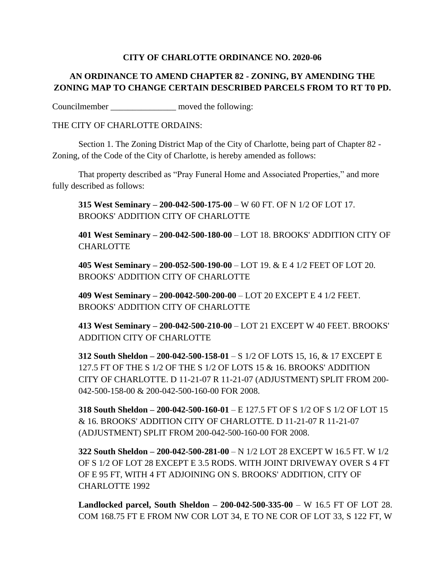## **CITY OF CHARLOTTE ORDINANCE NO. 2020-06**

## **AN ORDINANCE TO AMEND CHAPTER 82 - ZONING, BY AMENDING THE ZONING MAP TO CHANGE CERTAIN DESCRIBED PARCELS FROM TO RT T0 PD.**

Councilmember moved the following:

## THE CITY OF CHARLOTTE ORDAINS:

Section 1. The Zoning District Map of the City of Charlotte, being part of Chapter 82 - Zoning, of the Code of the City of Charlotte, is hereby amended as follows:

That property described as "Pray Funeral Home and Associated Properties," and more fully described as follows:

**315 West Seminary – 200-042-500-175-00** – W 60 FT. OF N 1/2 OF LOT 17. BROOKS' ADDITION CITY OF CHARLOTTE

**401 West Seminary – 200-042-500-180-00** – LOT 18. BROOKS' ADDITION CITY OF CHARLOTTE

**405 West Seminary – 200-052-500-190-00** – LOT 19. & E 4 1/2 FEET OF LOT 20. BROOKS' ADDITION CITY OF CHARLOTTE

**409 West Seminary – 200-0042-500-200-00** – LOT 20 EXCEPT E 4 1/2 FEET. BROOKS' ADDITION CITY OF CHARLOTTE

**413 West Seminary – 200-042-500-210-00** – LOT 21 EXCEPT W 40 FEET. BROOKS' ADDITION CITY OF CHARLOTTE

**312 South Sheldon – 200-042-500-158-01** – S 1/2 OF LOTS 15, 16, & 17 EXCEPT E 127.5 FT OF THE S 1/2 OF THE S 1/2 OF LOTS 15 & 16. BROOKS' ADDITION CITY OF CHARLOTTE. D 11-21-07 R 11-21-07 (ADJUSTMENT) SPLIT FROM 200- 042-500-158-00 & 200-042-500-160-00 FOR 2008.

**318 South Sheldon – 200-042-500-160-01** – E 127.5 FT OF S 1/2 OF S 1/2 OF LOT 15 & 16. BROOKS' ADDITION CITY OF CHARLOTTE. D 11-21-07 R 11-21-07 (ADJUSTMENT) SPLIT FROM 200-042-500-160-00 FOR 2008.

**322 South Sheldon – 200-042-500-281-00** – N 1/2 LOT 28 EXCEPT W 16.5 FT. W 1/2 OF S 1/2 OF LOT 28 EXCEPT E 3.5 RODS. WITH JOINT DRIVEWAY OVER S 4 FT OF E 95 FT, WITH 4 FT ADJOINING ON S. BROOKS' ADDITION, CITY OF CHARLOTTE 1992

**Landlocked parcel, South Sheldon – 200-042-500-335-00** – W 16.5 FT OF LOT 28. COM 168.75 FT E FROM NW COR LOT 34, E TO NE COR OF LOT 33, S 122 FT, W